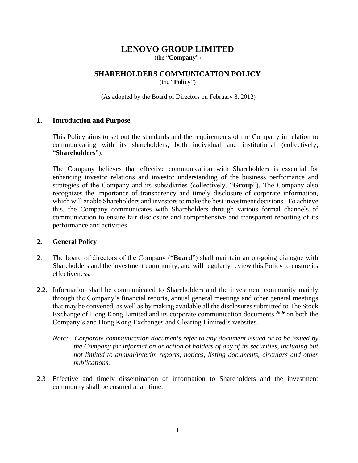## **LENOVO GROUP LIMITED**

(the "**Company**")

# **SHAREHOLDERS COMMUNICATION POLICY**

(the "**Policy**")

(As adopted by the Board of Directors on February 8, 2012)

#### **1. Introduction and Purpose**

This Policy aims to set out the standards and the requirements of the Company in relation to communicating with its shareholders, both individual and institutional (collectively, "**Shareholders**").

The Company believes that effective communication with Shareholders is essential for enhancing investor relations and investor understanding of the business performance and strategies of the Company and its subsidiaries (collectively, "**Group**"). The Company also recognizes the importance of transparency and timely disclosure of corporate information, which will enable Shareholders and investors to make the best investment decisions. To achieve this, the Company communicates with Shareholders through various formal channels of communication to ensure fair disclosure and comprehensive and transparent reporting of its performance and activities.

#### **2. General Policy**

- 2.1 The board of directors of the Company ("**Board**") shall maintain an on-going dialogue with Shareholders and the investment community, and will regularly review this Policy to ensure its effectiveness.
- 2.2. Information shall be communicated to Shareholders and the investment community mainly through the Company's financial reports, annual general meetings and other general meetings that may be convened, as well as by making available all the disclosures submitted to The Stock Exchange of Hong Kong Limited and its corporate communication documents *Note* on both the Company's and Hong Kong Exchanges and Clearing Limited's websites.
	- *Note: Corporate communication documents refer to any document issued or to be issued by the Company for information or action of holders of any of its securities, including but not limited to annual/interim reports, notices, listing documents, circulars and other publications.*
- 2.3 Effective and timely dissemination of information to Shareholders and the investment community shall be ensured at all time.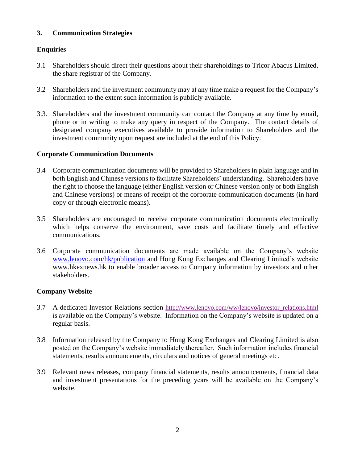## **3. Communication Strategies**

## **Enquiries**

- 3.1 Shareholders should direct their questions about their shareholdings to Tricor Abacus Limited, the share registrar of the Company.
- 3.2 Shareholders and the investment community may at any time make a request for the Company's information to the extent such information is publicly available.
- 3.3. Shareholders and the investment community can contact the Company at any time by email, phone or in writing to make any query in respect of the Company. The contact details of designated company executives available to provide information to Shareholders and the investment community upon request are included at the end of this Policy.

## **Corporate Communication Documents**

- 3.4 Corporate communication documents will be provided to Shareholders in plain language and in both English and Chinese versions to facilitate Shareholders' understanding. Shareholders have the right to choose the language (either English version or Chinese version only or both English and Chinese versions) or means of receipt of the corporate communication documents (in hard copy or through electronic means).
- 3.5 Shareholders are encouraged to receive corporate communication documents electronically which helps conserve the environment, save costs and facilitate timely and effective communications.
- 3.6 Corporate communication documents are made available on the Company's website www.lenovo.com/hk/publication and Hong Kong Exchanges and Clearing Limited's website www.hkexnews.hk to enable broader access to Company information by investors and other stakeholders.

## **Company Website**

- 3.7 A dedicated Investor Relations section [http://www.lenovo.com/ww/lenovo/investor\\_relations.html](http://www.lenovo.com/ww/lenovo/investor_relations.html) is available on the Company's website. Information on the Company's website is updated on a regular basis.
- 3.8 Information released by the Company to Hong Kong Exchanges and Clearing Limited is also posted on the Company's website immediately thereafter. Such information includes financial statements, results announcements, circulars and notices of general meetings etc.
- 3.9 Relevant news releases, company financial statements, results announcements, financial data and investment presentations for the preceding years will be available on the Company's website.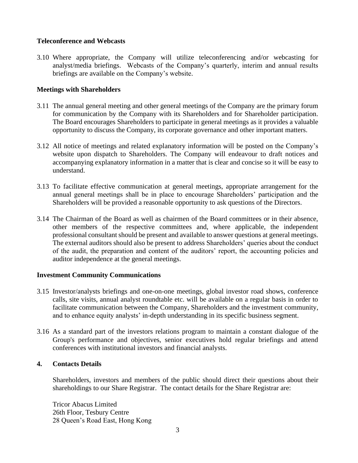## **Teleconference and Webcasts**

3.10 Where appropriate, the Company will utilize teleconferencing and/or webcasting for analyst/media briefings. Webcasts of the Company's quarterly, interim and annual results briefings are available on the Company's website.

## **Meetings with Shareholders**

- 3.11 The annual general meeting and other general meetings of the Company are the primary forum for communication by the Company with its Shareholders and for Shareholder participation. The Board encourages Shareholders to participate in general meetings as it provides a valuable opportunity to discuss the Company, its corporate governance and other important matters.
- 3.12 All notice of meetings and related explanatory information will be posted on the Company's website upon dispatch to Shareholders. The Company will endeavour to draft notices and accompanying explanatory information in a matter that is clear and concise so it will be easy to understand.
- 3.13 To facilitate effective communication at general meetings, appropriate arrangement for the annual general meetings shall be in place to encourage Shareholders' participation and the Shareholders will be provided a reasonable opportunity to ask questions of the Directors.
- 3.14 The Chairman of the Board as well as chairmen of the Board committees or in their absence, other members of the respective committees and, where applicable, the independent professional consultant should be present and available to answer questions at general meetings. The external auditors should also be present to address Shareholders' queries about the conduct of the audit, the preparation and content of the auditors' report, the accounting policies and auditor independence at the general meetings.

#### **Investment Community Communications**

- 3.15 Investor/analysts briefings and one-on-one meetings, global investor road shows, conference calls, site visits, annual analyst roundtable etc. will be available on a regular basis in order to facilitate communication between the Company, Shareholders and the investment community, and to enhance equity analysts' in-depth understanding in its specific business segment.
- 3.16 As a standard part of the investors relations program to maintain a constant dialogue of the Group's performance and objectives, senior executives hold regular briefings and attend conferences with institutional investors and financial analysts.

#### **4. Contacts Details**

Shareholders, investors and members of the public should direct their questions about their shareholdings to our Share Registrar. The contact details for the Share Registrar are:

Tricor Abacus Limited 26th Floor, Tesbury Centre 28 Queen's Road East, Hong Kong